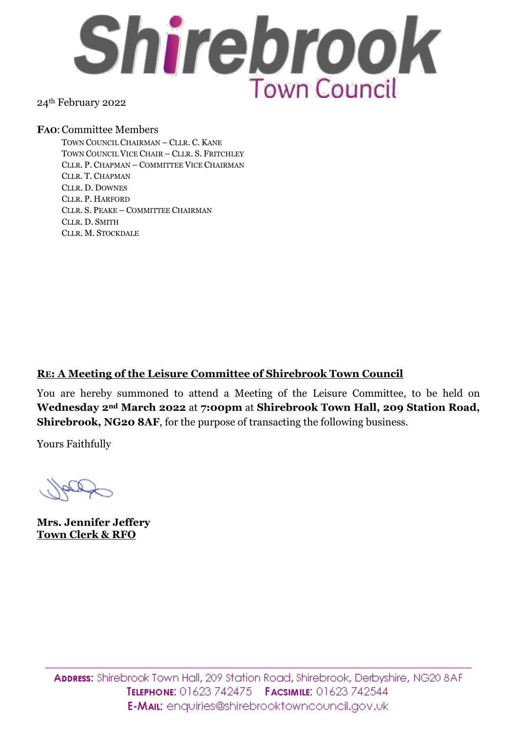

## 24th February 2022

#### **FAO**:Committee Members

TOWN COUNCIL CHAIRMAN – CLLR. C. KANE TOWN COUNCIL VICE CHAIR – CLLR. S. FRITCHLEY CLLR. P. CHAPMAN – COMMITTEE VICE CHAIRMAN CLLR. T. CHAPMAN CLLR. D. DOWNES CLLR. P. HARFORD CLLR. S. PEAKE – COMMITTEE CHAIRMAN CLLR. D. SMITH CLLR. M. STOCKDALE

## **RE: A Meeting of the Leisure Committee of Shirebrook Town Council**

You are hereby summoned to attend a Meeting of the Leisure Committee, to be held on **Wednesday 2nd March 2022** at **7:00pm** at **Shirebrook Town Hall, 209 Station Road, Shirebrook, NG20 8AF**, for the purpose of transacting the following business.

Yours Faithfully

**Mrs. Jennifer Jeffery Town Clerk & RFO**